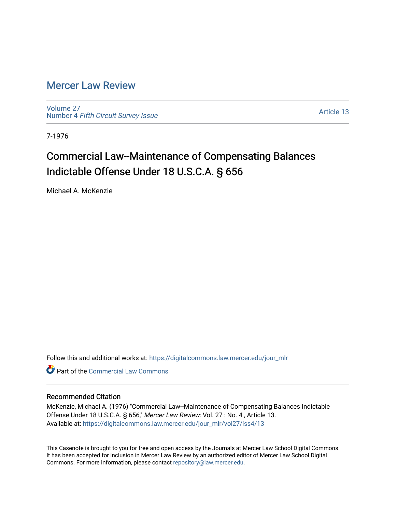### [Mercer Law Review](https://digitalcommons.law.mercer.edu/jour_mlr)

[Volume 27](https://digitalcommons.law.mercer.edu/jour_mlr/vol27) Number 4 [Fifth Circuit Survey Issue](https://digitalcommons.law.mercer.edu/jour_mlr/vol27/iss4) 

[Article 13](https://digitalcommons.law.mercer.edu/jour_mlr/vol27/iss4/13) 

7-1976

# Commercial Law--Maintenance of Compensating Balances Indictable Offense Under 18 U.S.C.A. § 656

Michael A. McKenzie

Follow this and additional works at: [https://digitalcommons.law.mercer.edu/jour\\_mlr](https://digitalcommons.law.mercer.edu/jour_mlr?utm_source=digitalcommons.law.mercer.edu%2Fjour_mlr%2Fvol27%2Fiss4%2F13&utm_medium=PDF&utm_campaign=PDFCoverPages)

**C** Part of the [Commercial Law Commons](http://network.bepress.com/hgg/discipline/586?utm_source=digitalcommons.law.mercer.edu%2Fjour_mlr%2Fvol27%2Fiss4%2F13&utm_medium=PDF&utm_campaign=PDFCoverPages)

#### Recommended Citation

McKenzie, Michael A. (1976) "Commercial Law--Maintenance of Compensating Balances Indictable Offense Under 18 U.S.C.A. § 656," Mercer Law Review: Vol. 27 : No. 4 , Article 13. Available at: [https://digitalcommons.law.mercer.edu/jour\\_mlr/vol27/iss4/13](https://digitalcommons.law.mercer.edu/jour_mlr/vol27/iss4/13?utm_source=digitalcommons.law.mercer.edu%2Fjour_mlr%2Fvol27%2Fiss4%2F13&utm_medium=PDF&utm_campaign=PDFCoverPages) 

This Casenote is brought to you for free and open access by the Journals at Mercer Law School Digital Commons. It has been accepted for inclusion in Mercer Law Review by an authorized editor of Mercer Law School Digital Commons. For more information, please contact [repository@law.mercer.edu.](mailto:repository@law.mercer.edu)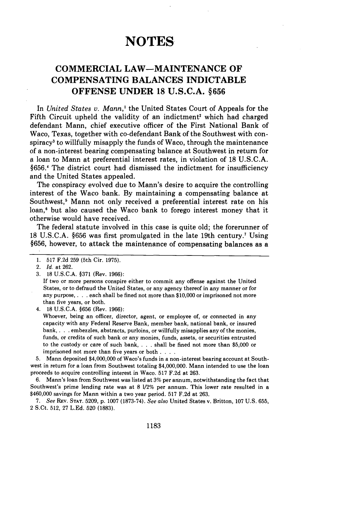## **NOTES**

### **COMMERCIAL LAW-MAINTENANCE OF COMPENSATING BALANCES INDICTABLE OFFENSE UNDER 18 U.S.C.A. §656**

In *United States v. Mann,'* the United States Court of Appeals for the Fifth Circuit upheld the validity of an indictment<sup>2</sup> which had charged defendant Mann, chief executive officer of the First National Bank of Waco, Texas, together with co-defendant Bank of the Southwest with conspiracy3 to willfully misapply the funds of Waco, through the maintenance of a non-interest bearing compensating balance at Southwest in return for a loan to Mann at preferential interest rates, in violation of **18 U.S.C.A. §656.1** The district court had dismissed the indictment for insufficiency and the United States appealed.

The conspiracy evolved due to Mann's desire to acquire the controlling interest of the Waco bank. **By** maintaining a compensating balance at Southwest,' Mann not only received a preferential interest rate on his loan,<sup>6</sup> but also caused the Waco bank to forego interest money that it otherwise would have received.

The federal statute involved in this case is quite old; the forerunner of **18 U.S.C.A. §656** was first promulgated in the late 19th century.' Using **§656,** however, to attack the maintenance of compensating balances as a

If two or more persons conspire either to commit any offense against the United States, or to defraud the United States, or any agency thereof in any manner or for any purpose, . . . each shall be fined not more than \$10,000 or imprisoned not more than five years, or both.

4. 18 U.S.C.A. **§656** (Rev. **1966):**

Whoever, being an officer, director, agent, or employee of, or connected in any capacity with any Federal Reserve Bank, member bank, national bank, or insured bank, . **.** . embezzles, abstracts, purloins, or willfully misapplies any of the monies, funds, or credits of such bank or any monies, funds, assets, or securities entrusted to the custody or care of such bank, . **.** . shall be fined not more than \$5,000 or imprisoned not more than five years or both **....**

5. Mann deposited \$4,000,000 of Waco's funds in a non-interest bearing account at Southwest in return for a loan from Southwest totaling \$4,000,000. Mann intended to use the loan proceeds to acquire controlling interest in Waco. **517** F.2d at 263.

**6.** Mann's loan from Southwest was listed at 3% per annum, notwithstanding the fact that Southwest's prime lending rate was at **8** 1/2% per annum. This lower rate resulted in a \$460,000 savings for Mann within a two year period. 517 F.2d at 263.

7. See REv. **STAT.** 5209, p. 1007 (1873-74). *See also* United States v. Britton, **107** U.S. 655, 2 S.Ct. 512, 27 L.Ed. 520 (1883).

<sup>1.</sup> **517** F.2d **259** (5th Cir. 1975).

<sup>2.</sup> *Id.* at 262.

<sup>3.</sup> **18** U.S.C.A. §371 (Rev. **1966):**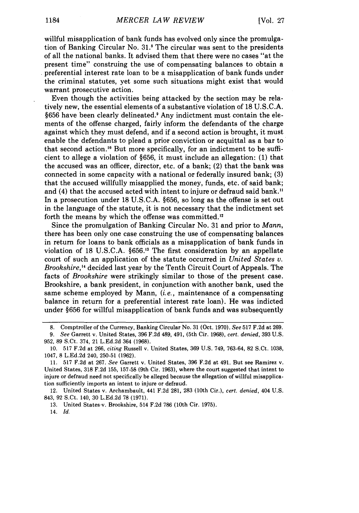willful misapplication of bank funds has evolved only since the promulgation of Banking Circular No. 31.8 The circular was sent to the presidents of all the national banks. It advised them that there were no cases "at the present time" construing the use of compensating balances to obtain a preferential interest rate loan to be a misapplication of bank funds under the criminal statutes, yet some such situations might exist that would warrant prosecutive action.

Even though the activities being attacked by the section may be relatively new, the essential elements of a substantive violation of 18 U.S.C.A. §656 have been clearly delineated.' Any indictment must contain the elements of the offense charged, fairly inform the defendants of the charge against which they must defend, and if a second action is brought, it must enable the defendants to plead a prior conviction or acquittal as a bar to that second action.<sup>10</sup> But more specifically, for an indictment to be sufficient to allege a violation of §656, it must include an allegation: (1) that the accused was an officer, director, etc. of a bank; (2) that the bank was connected in some capacity with a national or federally insured bank; (3) that the accused willfully misapplied the money, funds, etc. of said bank; and (4) that the accused acted with intent to injure or defraud said bank." In a prosecution under 18 U.S.C.A. §656, so long as the offense is set out in the language of the statute, it is not necessary that the indictment set forth the means by which the offense was committed."

Since the promulgation of Banking Circular No. 31 and prior to *Mann,* there has been only one case construing the use of compensating balances in return for loans to bank officials as a misapplication of bank funds in violation of 18 U.S.C.A. §656.<sup>13</sup> The first consideration by an appellate court of such an application of the statute occurred in *United States v. Brookshire,'4* decided last year by the Tenth Circuit Court of Appeals. The facts of *Brookshire* were strikingly similar to those of the present case. Brookshire, a bank president, in conjunction with another bank, used the same scheme employed by Mann, *(i.e.,* maintenance of a compensating balance in return for a preferential interest rate loan). He was indicted under §656 for willful misapplication of bank funds and was subsequently

12. United States v. Archambault, 441 F.2d 281, 283 (10th Cir.), *cert. denied,* 404 U.S. 843, 92 S.Ct. 140, 30 L.Ed.2d 78 (1971).

13. United States-v. Brookshire, 514 F.2d 786 (10th Cir. 1975).

14. *Id.*

<sup>8.</sup> Comptroller of the Currency, Banking Circular No. 31 (Oct. 1970). *See* 517 F.2d at 269. *9. See* Garrett v. United States, 396 F.2d 489, 491, (5th Cir. 1968), *cert. denied,* 393 U.S.

<sup>952, 89</sup> S.Ct. 374, 21 L.Ed.2d 364 (1968). 10. 517 F.2d at 266, *citing* Russell v. United States, 369 U.S. 749, 763-64, 82 S.Ct. 1038, 1047, 8 L.Ed.2d 240, 250-51 (1962).

<sup>11. 517</sup> F.2d at 267. *See* Garrett v. United States, 396 F.2d at 491. But see Ramirez v. United States, 318 F.2d 155, 157-58 (9th Cir. 1963), where the court suggested that intent to injure or defraud need not specifically be alleged because the allegation of willful misapplication sufficiently imports an intent to injure or defraud.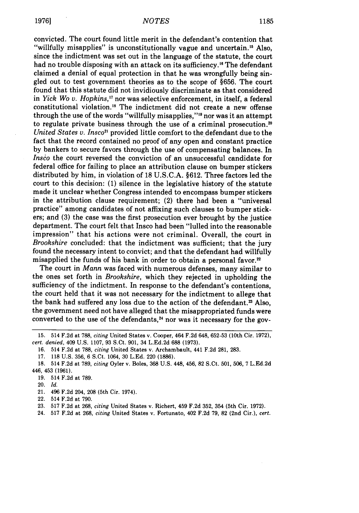convicted. The court found little merit in the defendant's contention that "willfully misapplies" is unconstitutionally vague and uncertain.<sup>15</sup> Also, since the indictment was set out in the language of the statute, the court had no trouble disposing with an attack on its sufficiency.<sup>16</sup> The defendant claimed a denial of equal protection in that he was wrongfully being singled out to test government theories as to the scope of **§656.** The court found that this statute did not invidiously discriminate as that considered in *Yick Wo v. Hopkins,'7* nor was selective enforcement, in itself, a federal constitutional violation.<sup>18</sup> The indictment did not create a new offense through the use of the words "willfully misapplies,"'9 nor was it an attempt to regulate private business through the use of a criminal prosecution.<sup>20</sup> *United States v. Insco<sup>21</sup>* provided little comfort to the defendant due to the fact that the record contained no proof of any open and constant practice **by** bankers to secure favors through the use of compensating balances. In *Insco* the court reversed the conviction of an unsuccessful candidate for federal office for failing to place an attribution clause on bumper stickers distributed **by** him, in violation of **18 U.S.C.A. §612.** Three factors led the court to this decision: **(1)** silence in the legislative history of the statute made it unclear whether Congress intended to encompass bumper stickers in the attribution clause requirement; (2) there had been a "universal practice" among candidates of not affixing such clauses to bumper stickers; and **(3)** the case was the first prosecution ever brought **by** the justice department. The court felt that Insco had been "lulled into the reasonable impression" that his actions were not criminal. Overall, the court in *Brookshire* concluded: that the indictment was sufficient; that the jury found the necessary intent to convict; and that the defendant had willfully misapplied the funds of his bank in order to obtain a personal favor.<sup>22</sup>

The court in *Mann* was faced with numerous defenses, many similar to the ones set forth in *Brookshire,* which they rejected in upholding the sufficiency of the indictment. In response to the defendant's contentions, the court held that it was not necessary for the indictment to allege that the bank had suffered any loss due to the action of the defendant.<sup>23</sup> Also, the government need not have alleged that the misappropriated funds were converted to the use of the defendants, $<sup>24</sup>$  nor was it necessary for the gov-</sup>

- 21. 496 F.2d 204, 208 (5th Cir. 1974).
- 22. 514 F.2d at 790.
- 23. 517 F.2d at 268, *citing* United States v. Richert, 459 F.2d 352, 354 (5th Cir. 1972).
- 24. 517 F.2d at 268, *citing* United States v. Fortunato, 402 F.2d 79, 82 (2nd Cir.), *cert.*

**<sup>15.</sup>** 514 F.2d at 788, *citing* United States v. Cooper, 464 F.2d 648, 652-53 (10th Cir. 1972), *cert. denied,* 409 U.S. 1107, 93 S.Ct. 901, 34 L.Ed.2d 688 (1973).

<sup>16. 514</sup> F.2d at 788, *citing* United States v. Archarnbault, 441 F.2d 281, 283.

<sup>17. 118</sup> U.S. 356, 6 S.Ct. 1064, 30 L.Ed. 220 (1886).

<sup>18. 514</sup> F.2d at 789, *citing* Oyler v. Boles, 368 U.S. 448, 456, 82 S.Ct. 501, 506, 7 L.Ed.2d 446, 453 (1961).

<sup>19. 514</sup> F.2d at 789.

<sup>20.</sup> *Id.*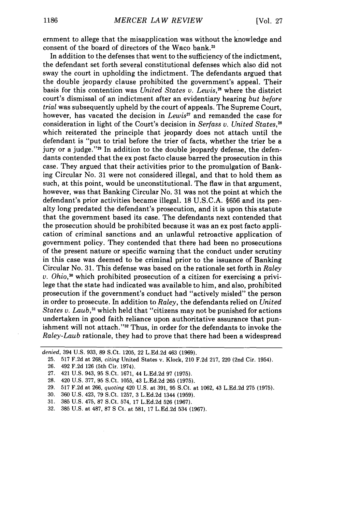ernment to allege that the misapplication was without the knowledge and consent of the board of directors of the Waco bank.<sup>25</sup>

In addition to the defenses that went to the sufficiency of the indictment, the defendant set forth several constitutional defenses which also did not sway the court in upholding the indictment. The defendants argued that the double jeopardy clause prohibited the government's appeal. Their basis for this contention was *United States v. Lewis,"6* where the district court's dismissal of an indictment after an evidentiary hearing *but before trial* was subsequently upheld by the court of appeals. The Supreme Court, however, has vacated the decision in *Lewis27* and remanded the case for consideration in light of the Court's decision in *Serfass v. United States,2 <sup>8</sup>* which reiterated the principle that jeopardy does not attach until the defendant is "put to trial before the trier of facts, whether the trier be a jury or a judge."<sup>29</sup> In addition to the double jeopardy defense, the defendants contended that the ex post facto clause barred the prosecution in this case. They argued that their activities prior to the promulgation of Banking Circular No. 31 were not considered illegal, and that to hold them as such, at this point, would be unconstitutional. The flaw in that argument, however, was that Banking Circular No. 31 was not the point at which the defendant's prior activities became illegal. 18 U.S.C.A. §656 and its penalty long predated the defendant's prosecution, and it is upon this statute that the government based its case. The defendants next contended that the prosecution should be prohibited because it was an ex post facto application of criminal sanctions and an unlawful retroactive application of government policy. They contended that there had been no prosecutions of the present nature or specific warning that the conduct under scrutiny in this case was deemed to be criminal prior to the issuance of Banking Circular No. 31. This defense was based on the rationale set forth in *Raley v. Ohio,30* which prohibited prosecution of a citizen for exercising a privilege that the state had indicated was available to him, and also, prohibited prosecution if the government's conduct had "actively misled" the person in order to prosecute. In addition to *Raley,* the defendants relied on *United States v. Laub*,<sup>31</sup> which held that "citizens may not be punished for actions undertaken in good faith reliance upon authoritative assurance that punishment will not attach."<sup>32</sup> Thus, in order for the defendants to invoke the *Raley-Laub* rationale, they had to prove that there had been a widespread

*denied,* 394 U.S. 933, 89 S.Ct. 1205, 22 L.Ed.2d 463 (1969).

<sup>25. 517</sup> F.2d at 268, *citing* United States v. Klock, 210 F.2d 217, 220 (2nd Cir. 1954).

<sup>26. 492</sup> F.2d 126 (5th Cir. 1974).

<sup>27. 421</sup> U.S. 943, 95 S.Ct. 1671, 44 L.Ed.2d 97 (1975).

<sup>28. 420</sup> U.S. 377, 95 S.Ct. 1055, 43 L.Ed.2d 265 (1975).

<sup>29. 517</sup> F.2d at 266, *quoting* 420 U.S. at 391, 95 S.Ct. at 1062, 43 L.Ed.2d 275 (1975).

<sup>30. 360</sup> U.S. 423, 79 S.Ct. 1257, 3 L.Ed.2d 1344 (1959).

<sup>31. 385</sup> U.S. 475, 87 S.Ct. 574, 17 L.Ed.2d 526 (1967).

<sup>32. 385</sup> U.S. at 487, 87 **S** Ct. at 581, 17 L.Ed.2d 534 (1967).